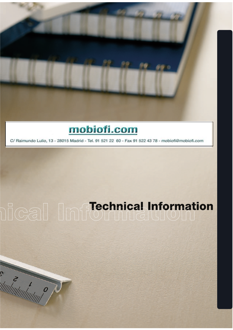

C/ Raimundo Lulio, 13 - 28015 Madrid - Tel. 91 521 22 60 - Fax 91 522 43 78 - mobiofi@mobiofi.com

# DICall Information

S CONTROVERS OF THE CONTROL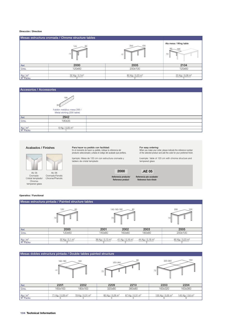### **Dirección / Direction**

| Mesas estructura cromada / Chrome structure tables |                                          |                             |                             |  |  |  |  |  |  |
|----------------------------------------------------|------------------------------------------|-----------------------------|-----------------------------|--|--|--|--|--|--|
|                                                    | Ala mesa / Wing table<br>60<br>120<br>72 |                             |                             |  |  |  |  |  |  |
| Ref.                                               | 2000                                     | 2005                        | 2104                        |  |  |  |  |  |  |
| Cms.                                               | 120x60                                   | 200x100                     | 120x60                      |  |  |  |  |  |  |
|                                                    |                                          |                             |                             |  |  |  |  |  |  |
| Kg/m <sup>3</sup>                                  | 32 Kg / $0,1m^3$                         | 80 Kg / 0,23 m <sup>3</sup> | 23 Kg / 0,08 m <sup>3</sup> |  |  |  |  |  |  |
| Nº Packs                                           |                                          |                             |                             |  |  |  |  |  |  |

# Accesorios / Accessories



# Acabados / Finishes

**2000 <b>.AE** 05 AE 06

Cromado-Cristal templado/ Cromado/Fenolic Chrome/Phenolic

### Para hacer su pedido con facilidad:

En el momento de hacer su pedido, indique la referencia del producto seleccionado y añada el código del acabado que prefiera.

Ejemplo: Mesa de 120 cm con estructura cromada y tablero de cristal templado

**For easy ordering:**<br>When you make your order, please indicate the reference number<br>of the selected product and add the code for your preferred finish.

Example: Table of 120 cm with chrome structure and tempered glass

Referencia producto/ Reference product

Referencia pie+acabado/ Reference foot+finish

### **Operativa / Functional**

Chrometempered glass

| Mesas estructura pintada / Painted structure tables |                  |                             |                             |                             |                             |  |  |  |  |  |
|-----------------------------------------------------|------------------|-----------------------------|-----------------------------|-----------------------------|-----------------------------|--|--|--|--|--|
| 60<br>120<br>721<br>Ψ                               |                  | 72                          | 80<br>140-160-180<br>Ш      | 100<br>200<br>72<br>W<br>W  |                             |  |  |  |  |  |
| Ref.                                                | 2000             | 2001                        | 2002                        | 2003                        | 2005                        |  |  |  |  |  |
| Cms.                                                | 120x60           | 140x80                      | 160x80                      | 180x80                      | 200x100                     |  |  |  |  |  |
|                                                     |                  |                             |                             |                             |                             |  |  |  |  |  |
| Kg/m <sup>3</sup>                                   | 32 Kg / 0,1 $m3$ | 36 Kg / 0,13 m <sup>3</sup> | 41 Kg / 0,16 m <sup>3</sup> | 44 Kg / 0,18 m <sup>3</sup> | 60 Kg / 0,23 m <sup>3</sup> |  |  |  |  |  |
| Nº Packs                                            |                  |                             |                             |                             |                             |  |  |  |  |  |

# Mesas dobles estructura pintada / Double tables painted structure

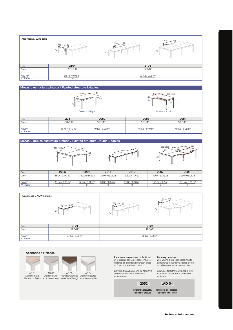

# Mesas L estructura pintada / Painted structure L-tables



### Mesas L dobles estructura pintada / Painted structure Double L-tables





### Acabados / Finishes

AD 02





Aluminium/Beech Aluminium/Grey Aluminium/Wenge Aluminium/White AD 04 Aluminio/Wengué Aluminio/Blanco

Para hacer su pedido con facilidad: En el momento de hacer su pedido, indique la referencia del producto seleccionado y añada el código del acabado que prefiera.

Ejemplo: Mesa L derecha de 180x110 con estructura color Aluminio y tablero blanco

Referencia producto / Reference product

### For easy ordering:

when you make your order, please indicate the reference number of the selected product and add the code for your preferred finish.

Example: 180x110 right L-table with Aluminium colour frame and white table top

**2052 .AD 04**

Referencia pie+acabado / Reference foot+finish

Technical Information